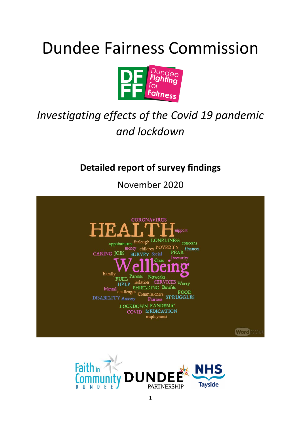# Dundee Fairness Commission



# *Investigating effects of the Covid 19 pandemic and lockdown*

**Detailed report of survey findings** 

November 2020



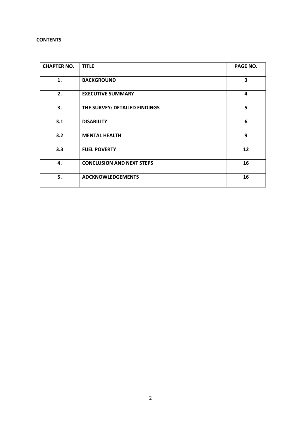# **CONTENTS**

| <b>CHAPTER NO.</b> | <b>TITLE</b>                     | PAGE NO. |
|--------------------|----------------------------------|----------|
| 1.                 | <b>BACKGROUND</b>                | 3        |
| 2.                 | <b>EXECUTIVE SUMMARY</b>         | 4        |
| 3.                 | THE SURVEY: DETAILED FINDINGS    | 5        |
| 3.1                | <b>DISABILITY</b>                | 6        |
| 3.2                | <b>MENTAL HEALTH</b>             | 9        |
| 3.3                | <b>FUEL POVERTY</b>              | 12       |
| 4.                 | <b>CONCLUSION AND NEXT STEPS</b> | 16       |
| 5.                 | <b>ADCKNOWLEDGEMENTS</b>         | 16       |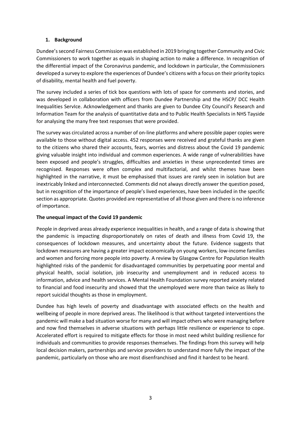# **1. Background**

Dundee's second Fairness Commission was established in 2019 bringing together Community and Civic Commissioners to work together as equals in shaping action to make a difference. In recognition of the differential impact of the Coronavirus pandemic, and lockdown in particular, the Commissioners developed a survey to explore the experiences of Dundee's citizens with a focus on their priority topics of disability, mental health and fuel poverty.

The survey included a series of tick box questions with lots of space for comments and stories, and was developed in collaboration with officers from Dundee Partnership and the HSCP/ DCC Health Inequalities ServIce. Acknowledgement and thanks are given to Dundee City Council's Research and Information Team for the analysis of quantitative data and to Public Health Specialists in NHS Tayside for analysing the many free text responses that were provided.

The survey was circulated across a number of on-line platforms and where possible paper copies were available to those without digital access. 452 responses were received and grateful thanks are given to the citizens who shared their accounts, fears, worries and distress about the Covid 19 pandemic giving valuable insight into individual and common experiences. A wide range of vulnerabilities have been exposed and people's struggles, difficulties and anxieties in these unprecedented times are recognised. Responses were often complex and multifactorial, and whilst themes have been highlighted in the narrative, it must be emphasised that issues are rarely seen in isolation but are inextricably linked and interconnected. Comments did not always directly answer the question posed, but in recognition of the importance of people's lived experiences, have been included in the specific section as appropriate. Quotes provided are representative of all those given and there is no inference of importance.

# **The unequal impact of the Covid 19 pandemic**

People in deprived areas already experience inequalities in health, and a range of data is showing that the pandemic is impacting disproportionately on rates of death and illness from Covid 19, the consequences of lockdown measures, and uncertainty about the future. Evidence suggests that lockdown measures are having a greater impact economically on young workers, low-income families and women and forcing more people into poverty. A review by Glasgow Centre for Population Health highlighted risks of the pandemic for disadvantaged communities by perpetuating poor mental and physical health, social isolation, job insecurity and unemployment and in reduced access to information, advice and health services. A Mental Health Foundation survey reported anxiety related to financial and food insecurity and showed that the unemployed were more than twice as likely to report suicidal thoughts as those in employment.

Dundee has high levels of poverty and disadvantage with associated effects on the health and wellbeing of people in more deprived areas. The likelihood is that without targeted interventions the pandemic will make a bad situation worse for many and will impact others who were managing before and now find themselves in adverse situations with perhaps little resilience or experience to cope. Accelerated effort is required to mitigate effects for those in most need whilst building resilience for individuals and communities to provide responses themselves. The findings from this survey will help local decision makers, partnerships and service providers to understand more fully the impact of the pandemic, particularly on those who are most disenfranchised and find it hardest to be heard.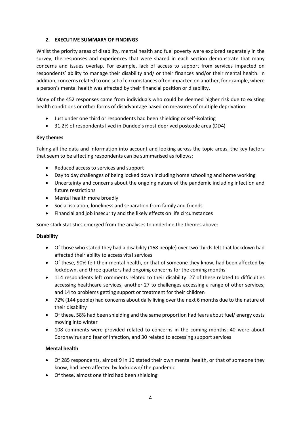# **2. EXECUTIVE SUMMARY OF FINDINGS**

Whilst the priority areas of disability, mental health and fuel poverty were explored separately in the survey, the responses and experiences that were shared in each section demonstrate that many concerns and issues overlap. For example, lack of access to support from services impacted on respondents' ability to manage their disability and/ or their finances and/or their mental health. In addition, concerns related to one set of circumstances often impacted on another, for example, where a person's mental health was affected by their financial position or disability.

Many of the 452 responses came from individuals who could be deemed higher risk due to existing health conditions or other forms of disadvantage based on measures of multiple deprivation:

- Just under one third or respondents had been shielding or self-isolating
- 31.2% of respondents lived in Dundee's most deprived postcode area (DD4)

#### **Key themes**

Taking all the data and information into account and looking across the topic areas, the key factors that seem to be affecting respondents can be summarised as follows:

- Reduced access to services and support
- Day to day challenges of being locked down including home schooling and home working
- Uncertainty and concerns about the ongoing nature of the pandemic including infection and future restrictions
- Mental health more broadly
- Social isolation, loneliness and separation from family and friends
- Financial and job insecurity and the likely effects on life circumstances

Some stark statistics emerged from the analyses to underline the themes above:

# **Disability**

- Of those who stated they had a disability (168 people) over two thirds felt that lockdown had affected their ability to access vital services
- Of these, 90% felt their mental health, or that of someone they know, had been affected by lockdown, and three quarters had ongoing concerns for the coming months
- 114 respondents left comments related to their disability: 27 of these related to difficulties accessing healthcare services, another 27 to challenges accessing a range of other services, and 14 to problems getting support or treatment for their children
- 72% (144 people) had concerns about daily living over the next 6 months due to the nature of their disability
- Of these, 58% had been shielding and the same proportion had fears about fuel/ energy costs moving into winter
- 108 comments were provided related to concerns in the coming months; 40 were about Coronavirus and fear of infection, and 30 related to accessing support services

# **Mental health**

- Of 285 respondents, almost 9 in 10 stated their own mental health, or that of someone they know, had been affected by lockdown/ the pandemic
- Of these, almost one third had been shielding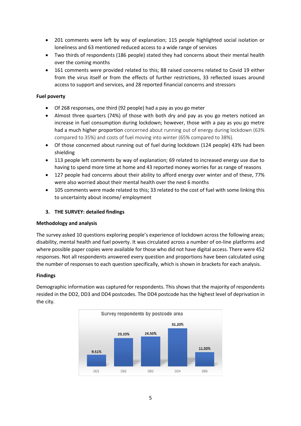- 201 comments were left by way of explanation; 115 people highlighted social isolation or loneliness and 63 mentioned reduced access to a wide range of services
- Two thirds of respondents (186 people) stated they had concerns about their mental health over the coming months
- 161 comments were provided related to this; 88 raised concerns related to Covid 19 either from the virus itself or from the effects of further restrictions, 33 reflected issues around access to support and services, and 28 reported financial concerns and stressors

# **Fuel poverty**

- Of 268 responses, one third (92 people) had a pay as you go meter
- Almost three quarters (74%) of those with both dry and pay as you go meters noticed an increase in fuel consumption during lockdown; however, those with a pay as you go metre had a much higher proportion concerned about running out of energy during lockdown (63% compared to 35%) and costs of fuel moving into winter (65% compared to 38%).
- Of those concerned about running out of fuel during lockdown (124 people) 43% had been shielding
- 113 people left comments by way of explanation; 69 related to increased energy use due to having to spend more time at home and 43 reported money worries for as range of reasons
- 127 people had concerns about their ability to afford energy over winter and of these, 77% were also worried about their mental health over the next 6 months
- 105 comments were made related to this; 33 related to the cost of fuel with some linking this to uncertainty about income/ employment

# **3. THE SURVEY: detailed findings**

#### **Methodology and analysis**

The survey asked 10 questions exploring people's experience of lockdown across the following areas; disability, mental health and fuel poverty. It was circulated across a number of on-line platforms and where possible paper copies were available for those who did not have digital access. There were 452 responses. Not all respondents answered every question and proportions have been calculated using the number of responses to each question specifically, which is shown in brackets for each analysis.

#### **Findings**

Demographic information was captured for respondents. This shows that the majority of respondents resided in the DD2, DD3 and DD4 postcodes. The DD4 postcode has the highest level of deprivation in the city.

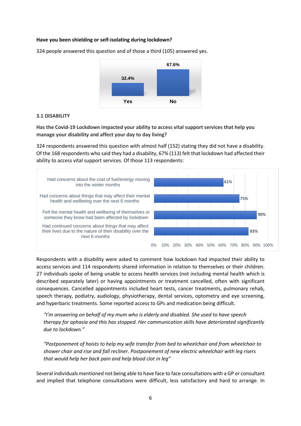#### **Have you been shielding or self-isolating during lockdown?**



324 people answered this question and of those a third (105) answered yes.

#### **3.1 DISABILITY**

**Has the Covid-19 Lockdown impacted your ability to access vital support services that help you manage your disability and affect your day to day living?**

324 respondents answered this question with almost half (152) stating they did not have a disability. Of the 168 respondents who said they had a disability, 67% (113) felt that lockdown had affected their ability to access vital support services. Of those 113 respondents:



Respondents with a disability were asked to comment how lockdown had impacted their ability to access services and 114 respondents shared information in relation to themselves or their children. 27 individuals spoke of being unable to access health services (not including mental health which is described separately later) or having appointments or treatment cancelled, often with significant consequences. Cancelled appointments included heart tests, cancer treatments, pulmonary rehab, speech therapy, podiatry, audiology, physiotherapy, dental services, optometry and eye screening, and hyperbaric treatments. Some reported access to GPs and medication being difficult.

*"I'm answering on behalf of my mum who is elderly and disabled. She used to have speech therapy for aphasia and this has stopped. Her communication skills have deteriorated significantly due to lockdown."*

*"Postponement of hoists to help my wife transfer from bed to wheelchair and from wheelchair to shower chair and rise and fall recliner. Postponement of new electric wheelchair with leg risers that would help her back pain and help blood clot in leg"*

Several individuals mentioned not being able to have face to face consultations with a GP or consultant and implied that telephone consultations were difficult, less satisfactory and hard to arrange. In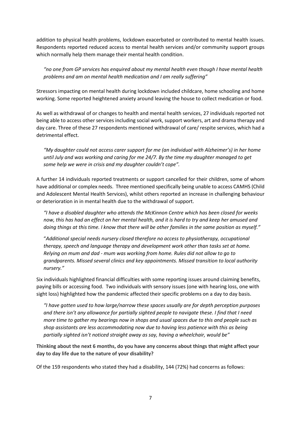addition to physical health problems, lockdown exacerbated or contributed to mental health issues. Respondents reported reduced access to mental health services and/or community support groups which normally help them manage their mental health condition.

*"no one from GP services has enquired about my mental health even though I have mental health problems and am on mental health medication and I am really suffering"*

Stressors impacting on mental health during lockdown included childcare, home schooling and home working. Some reported heightened anxiety around leaving the house to collect medication or food.

As well as withdrawal of or changes to health and mental health services, 27 individuals reported not being able to access other services including social work, support workers, art and drama therapy and day care. Three of these 27 respondents mentioned withdrawal of care/ respite services, which had a detrimental effect.

*"My daughter could not access carer support for me (an individual with Alzheimer's) in her home until July and was working and caring for me 24/7. By the time my daughter managed to get some help we were in crisis and my daughter couldn't cope".*

A further 14 individuals reported treatments or support cancelled for their children, some of whom have additional or complex needs. Three mentioned specifically being unable to access CAMHS (Child and Adolescent Mental Health Services), whilst others reported an increase in challenging behaviour or deterioration in in mental health due to the withdrawal of support.

*"I have a disabled daughter who attends the McKinnon Centre which has been closed for weeks now, this has had an effect on her mental health, and it is hard to try and keep her amused and doing things at this time. I know that there will be other families in the same position as myself."*

"*Additional special needs nursery closed therefore no access to physiotherapy, occupational therapy, speech and language therapy and development work other than tasks set at home. Relying on mum and dad - mum was working from home. Rules did not allow to go to grandparents. Missed several clinics and key appointments. Missed transition to local authority nursery."*

Six individuals highlighted financial difficulties with some reporting issues around claiming benefits, paying bills or accessing food. Two individuals with sensory issues (one with hearing loss, one with sight loss) highlighted how the pandemic affected their specific problems on a day to day basis.

*"I have gotten used to how large/narrow these spaces usually are for depth perception purposes and there isn't any allowance for partially sighted people to navigate these. I find that I need more time to gather my bearings now in shops and usual spaces due to this and people such as shop assistants are less accommodating now due to having less patience with this as being partially sighted isn't noticed straight away as say, having a wheelchair, would be"*

**Thinking about the next 6 months, do you have any concerns about things that might affect your day to day life due to the nature of your disability?**

Of the 159 respondents who stated they had a disability, 144 (72%) had concerns as follows: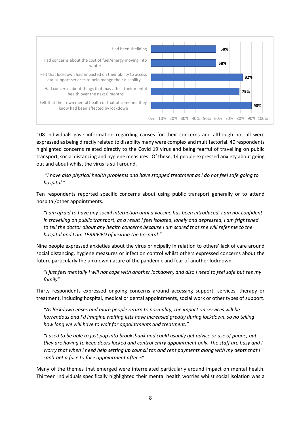

108 individuals gave information regarding causes for their concerns and although not all were expressed as being directly related to disability many were complex and multifactorial. 40 respondents highlighted concerns related directly to the Covid 19 virus and being fearful of travelling on public transport, social distancing and hygiene measures. Of these, 14 people expressed anxiety about going out and about whilst the virus is still around.

# *"I have also physical health problems and have stopped treatment as I do not feel safe going to hospital."*

Ten respondents reported specific concerns about using public transport generally or to attend hospital/other appointments.

*"I am afraid to have any social interaction until a vaccine has been introduced. I am not confident in travelling on public transport, as a result I feel isolated, lonely and depressed, I am frightened to tell the doctor about any health concerns because I am scared that she will refer me to the hospital and I am TERRIFIED of visiting the hospital."*

Nine people expressed anxieties about the virus principally in relation to others' lack of care around social distancing, hygiene measures or infection control whilst others expressed concerns about the future particularly the unknown nature of the pandemic and fear of another lockdown.

*"I just feel mentally I will not cope with another lockdown, and also I need to feel safe but see my family"*

Thirty respondents expressed ongoing concerns around accessing support, services, therapy or treatment, including hospital, medical or dental appointments, social work or other types of support.

*"As lockdown eases and more people return to normality, the impact on services will be horrendous and I'd imagine waiting lists have increased greatly during lockdown, so no telling how long we will have to wait for appointments and treatment."*

*"I used to be able to just pop into brooksbank and could usually get advice or use of phone, but they are having to keep doors locked and control entry appointment only. The staff are busy and I worry that when I need help setting up council tax and rent payments along with my debts that I can't get a face to face appointment after 5"*

Many of the themes that emerged were interrelated particularly around impact on mental health. Thirteen individuals specifically highlighted their mental health worries whilst social isolation was a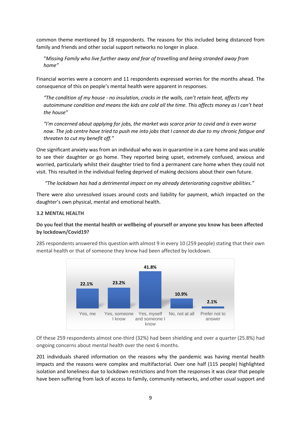common theme mentioned by 18 respondents. The reasons for this included being distanced from family and friends and other social support networks no longer in place.

"*Missing Family who live further away and fear of travelling and being stranded away from home"*

Financial worries were a concern and 11 respondents expressed worries for the months ahead. The consequence of this on people's mental health were apparent in responses.

*"The condition of my house - no insulation, cracks in the walls, can't retain heat, affects my autoimmune condition and means the kids are cold all the time. This affects money as I can't heat the house"*

*"I'm concerned about applying for jobs, the market was scarce prior to covid and is even worse now. The job centre have tried to push me into jobs that I cannot do due to my chronic fatigue and threaten to cut my benefit off."*

One significant anxiety was from an individual who was in quarantine in a care home and was unable to see their daughter or go home. They reported being upset, extremely confused, anxious and worried, particularly whilst their daughter tried to find a permanent care home when they could not visit. This resulted in the individual feeling deprived of making decisions about their own future.

*"The lockdown has had a detrimental impact on my already deteriorating cognitive abilities."*

There were also unresolved issues around costs and liability for payment, which impacted on the daughter's own physical, mental and emotional health.

#### **3.2 MENTAL HEALTH**

#### **Do you feel that the mental health or wellbeing of yourself or anyone you know has been affected by lockdown/Covid19?**

285 respondents answered this question with almost 9 in every 10 (259 people) stating that their own mental health or that of someone they know had been affected by lockdown.



Of these 259 respondents almost one-third (32%) had been shielding and over a quarter (25.8%) had ongoing concerns about mental health over the next 6 months.

201 individuals shared information on the reasons why the pandemic was having mental health impacts and the reasons were complex and multifactorial. Over one half (115 people) highlighted isolation and loneliness due to lockdown restrictions and from the responses it was clear that people have been suffering from lack of access to family, community networks, and other usual support and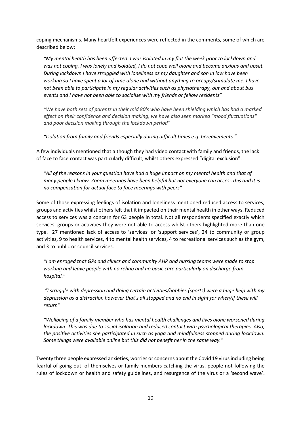coping mechanisms. Many heartfelt experiences were reflected in the comments, some of which are described below:

*"My mental health has been affected. I was isolated in my flat the week prior to lockdown and was not coping. I was lonely and isolated, I do not cope well alone and become anxious and upset. During lockdown I have struggled with loneliness as my daughter and son in law have been working so I have spent a lot of time alone and without anything to occupy/stimulate me. I have not been able to participate in my regular activities such as physiotherapy, out and about bus events and I have not been able to socialise with my friends or fellow residents"*

*"We have both sets of parents in their mid 80's who have been shielding which has had a marked effect on their confidence and decision making, we have also seen marked "mood fluctuations" and poor decision making through the lockdown period"*

*"Isolation from family and friends especially during difficult times e.g. bereavements."*

A few individuals mentioned that although they had video contact with family and friends, the lack of face to face contact was particularly difficult, whilst others expressed "digital exclusion".

*"All of the reasons in your question have had a huge impact on my mental health and that of many people I know. Zoom meetings have been helpful but not everyone can access this and it is no compensation for actual face to face meetings with peers"*

Some of those expressing feelings of isolation and loneliness mentioned reduced access to services, groups and activities whilst others felt that it impacted on their mental health in other ways. Reduced access to services was a concern for 63 people in total. Not all respondents specified exactly which services, groups or activities they were not able to access whilst others highlighted more than one type. 27 mentioned lack of access to 'services' or 'support services', 24 to community or group activities, 9 to health services, 4 to mental health services, 4 to recreational services such as the gym, and 3 to public or council services.

*"I am enraged that GPs and clinics and community AHP and nursing teams were made to stop working and leave people with no rehab and no basic care particularly on discharge from hospital."*

*"I struggle with depression and doing certain activities/hobbies (sports) were a huge help with my depression as a distraction however that's all stopped and no end in sight for when/if these will return"*

*"Wellbeing of a family member who has mental health challenges and lives alone worsened during lockdown. This was due to social isolation and reduced contact with psychological therapies. Also, the positive activities she participated in such as yoga and mindfulness stopped during lockdown. Some things were available online but this did not benefit her in the same way."*

Twenty three people expressed anxieties, worries or concerns about the Covid 19 virus including being fearful of going out, of themselves or family members catching the virus, people not following the rules of lockdown or health and safety guidelines, and resurgence of the virus or a 'second wave'.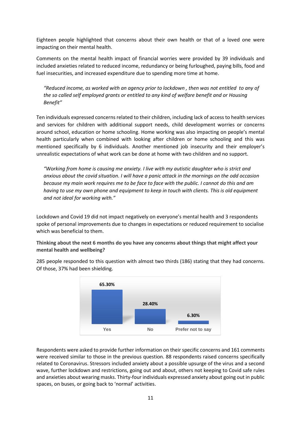Eighteen people highlighted that concerns about their own health or that of a loved one were impacting on their mental health.

Comments on the mental health impact of financial worries were provided by 39 individuals and included anxieties related to reduced income, redundancy or being furloughed, paying bills, food and fuel insecurities, and increased expenditure due to spending more time at home.

*"Reduced income, as worked with an agency prior to lockdown , then was not entitled to any of the so called self employed grants or entitled to any kind of welfare benefit and or Housing Benefit"*

Ten individuals expressed concerns related to their children, including lack of access to health services and services for children with additional support needs, child development worries or concerns around school, education or home schooling. Home working was also impacting on people's mental health particularly when combined with looking after children or home schooling and this was mentioned specifically by 6 individuals. Another mentioned job insecurity and their employer's unrealistic expectations of what work can be done at home with two children and no support.

*"Working from home is causing me anxiety. I live with my autistic daughter who is strict and anxious about the covid situation. I will have a panic attack in the mornings on the odd occasion because my main work requires me to be face to face with the public. I cannot do this and am having to use my own phone and equipment to keep in touch with clients. This is old equipment and not ideal for working with."*

Lockdown and Covid 19 did not impact negatively on everyone's mental health and 3 respondents spoke of personal improvements due to changes in expectations or reduced requirement to socialise which was beneficial to them.

**Thinking about the next 6 months do you have any concerns about things that might affect your mental health and wellbeing?**



285 people responded to this question with almost two thirds (186) stating that they had concerns. Of those, 37% had been shielding.

Respondents were asked to provide further information on their specific concerns and 161 comments were received similar to those in the previous question. 88 respondents raised concerns specifically related to Coronavirus. Stressors included anxiety about a possible upsurge of the virus and a second wave, further lockdown and restrictions, going out and about, others not keeping to Covid safe rules and anxieties about wearing masks. Thirty-four individuals expressed anxiety about going out in public spaces, on buses, or going back to 'normal' activities.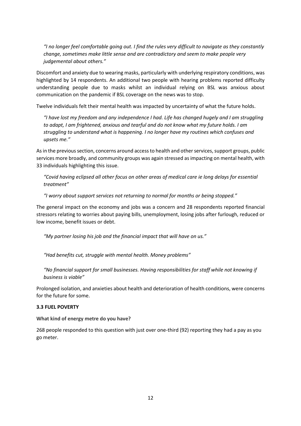*"I no longer feel comfortable going out. I find the rules very difficult to navigate as they constantly change, sometimes make little sense and are contradictory and seem to make people very judgemental about others."*

Discomfort and anxiety due to wearing masks, particularly with underlying respiratory conditions, was highlighted by 14 respondents. An additional two people with hearing problems reported difficulty understanding people due to masks whilst an individual relying on BSL was anxious about communication on the pandemic if BSL coverage on the news was to stop.

Twelve individuals felt their mental health was impacted by uncertainty of what the future holds.

*"I have lost my freedom and any independence I had. Life has changed hugely and I am struggling to adapt, I am frightened, anxious and tearful and do not know what my future holds. I am struggling to understand what is happening. I no longer have my routines which confuses and upsets me."*

As in the previous section, concerns around access to health and other services, support groups, public services more broadly, and community groups was again stressed as impacting on mental health, with 33 individuals highlighting this issue.

*"Covid having eclipsed all other focus on other areas of medical care ie long delays for essential treatment"*

*"I worry about support services not returning to normal for months or being stopped."*

The general impact on the economy and jobs was a concern and 28 respondents reported financial stressors relating to worries about paying bills, unemployment, losing jobs after furlough, reduced or low income, benefit issues or debt.

*"My partner losing his job and the financial impact that will have on us."*

*"Had benefits cut, struggle with mental health. Money problems"*

*"No financial support for small businesses. Having responsibilities for staff while not knowing if business is viable"*

Prolonged isolation, and anxieties about health and deterioration of health conditions, were concerns for the future for some.

#### **3.3 FUEL POVERTY**

**What kind of energy metre do you have?**

268 people responded to this question with just over one-third (92) reporting they had a pay as you go meter.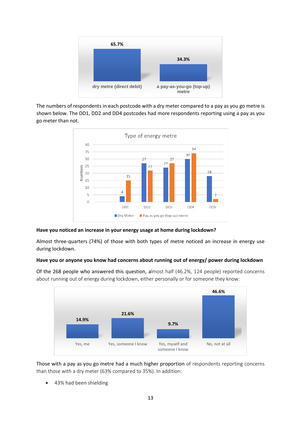

The numbers of respondents in each postcode with a dry meter compared to a pay as you go metre is shown below. The DD1, DD2 and DD4 postcodes had more respondents reporting using a pay as you go meter than not.



#### **Have you noticed an increase in your energy usage at home during lockdown?**

Almost three-quarters (74%) of those with both types of metre noticed an increase in energy use during lockdown.

#### **Have you or anyone you know had concerns about running out of energy/ power during lockdown**

Of the 268 people who answered this question, almost half (46.2%, 124 people) reported concerns about running out of energy during lockdown, either personally or for someone they know:

![](_page_12_Figure_7.jpeg)

Those with a pay as you go metre had a much higher proportion of respondents reporting concerns than those with a dry meter (63% compared to 35%). In addition:

• 43% had been shielding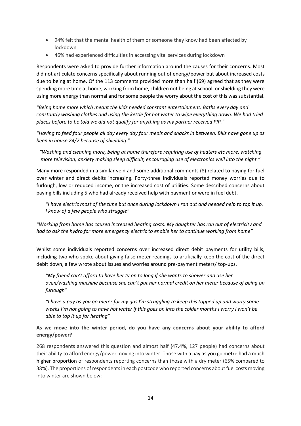- 94% felt that the mental health of them or someone they know had been affected by lockdown
- 46% had experienced difficulties in accessing vital services during lockdown

Respondents were asked to provide further information around the causes for their concerns. Most did not articulate concerns specifically about running out of energy/power but about increased costs due to being at home. Of the 113 comments provided more than half (69) agreed that as they were spending more time at home, working from home, children not being at school, or shielding they were using more energy than normal and for some people the worry about the cost of this was substantial.

*"Being home more which meant the kids needed constant entertainment. Baths every day and constantly washing clothes and using the kettle for hot water to wipe everything down. We had tried places before to be told we did not qualify for anything as my partner received PIP."*

*"Having to feed four people all day every day four meals and snacks in between. Bills have gone up as been in house 24/7 because of shielding."*

*"Washing and cleaning more, being at home therefore requiring use of heaters etc more, watching more television, anxiety making sleep difficult, encouraging use of electronics well into the night."*

Many more responded in a similar vein and some additional comments (8) related to paying for fuel over winter and direct debits increasing. Forty-three individuals reported money worries due to furlough, low or reduced income, or the increased cost of utilities. Some described concerns about paying bills including 5 who had already received help with payment or were in fuel debt.

*"I have electric most of the time but once during lockdown I ran out and needed help to top it up. I know of a few people who struggle"*

*"Working from home has caused increased heating costs. My daughter has ran out of electricity and had to ask the hydro for more emergency electric to enable her to continue working from home"*

Whilst some individuals reported concerns over increased direct debit payments for utility bills, including two who spoke about giving false meter readings to artificially keep the cost of the direct debit down, a few wrote about issues and worries around pre-payment meters/ top-ups.

*"My friend can't afford to have her tv on to long if she wants to shower and use her oven/washing machine because she can't put her normal credit on her meter because of being on furlough"*

*"I have a pay as you go meter for my gas I'm struggling to keep this topped up and worry some weeks I'm not going to have hot water if this goes on into the colder months I worry I won't be able to top it up for heating"*

# **As we move into the winter period, do you have any concerns about your ability to afford energy/power?**

268 respondents answered this question and almost half (47.4%, 127 people) had concerns about their ability to afford energy/power moving into winter. Those with a pay as you go metre had a much higher proportion of respondents reporting concerns than those with a dry meter (65% compared to 38%). The proportions of respondents in each postcode who reported concerns about fuel costs moving into winter are shown below: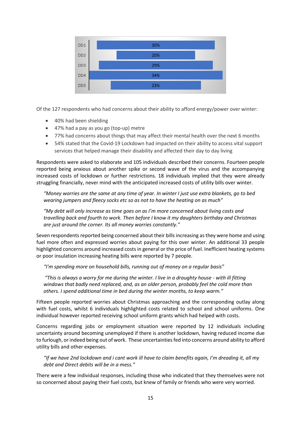![](_page_14_Figure_0.jpeg)

Of the 127 respondents who had concerns about their ability to afford energy/power over winter:

- 40% had been shielding
- 47% had a pay as you go (top-up) metre
- 77% had concerns about things that may affect their mental health over the next 6 months
- 54% stated that the Covid-19 Lockdown had impacted on their ability to access vital support services that helped manage their disability and affected their day to day living

Respondents were asked to elaborate and 105 individuals described their concerns. Fourteen people reported being anxious about another spike or second wave of the virus and the accompanying increased costs of lockdown or further restrictions. 18 individuals implied that they were already struggling financially, never mind with the anticipated increased costs of utility bills over winter.

*"Money worries are the same at any time of year. In winter I just use extra blankets, go to bed wearing jumpers and fleecy socks etc so as not to have the heating on as much"*

*"My debt will only increase as time goes on as I'm more concerned about living costs and travelling back and fourth to work. Then before I know it my daughters birthday and Christmas are just around the corner. Its all money worries constantly."*

Seven respondents reported being concerned about their bills increasing as they were home and using fuel more often and expressed worries about paying for this over winter. An additional 33 people highlighted concerns around increased costs in general or the price of fuel. Inefficient heating systems or poor insulation increasing heating bills were reported by 7 people.

*"I'm spending more on household bills, running out of money on a regular basis"*

"This is always a worry for me during the winter. I live in a draughty house - with ill fitting *windows that badly need replaced, and, as an older person, probably feel the cold more than others. I spend additional time in bed during the winter months, to keep warm."*

Fifteen people reported worries about Christmas approaching and the corresponding outlay along with fuel costs, whilst 6 individuals highlighted costs related to school and school uniforms. One individual however reported receiving school uniform grants which had helped with costs.

Concerns regarding jobs or employment situation were reported by 12 individuals including uncertainty around becoming unemployed if there is another lockdown, having reduced income due to furlough, or indeed being out of work. These uncertainties fed into concerns around ability to afford utility bills and other expenses.

*"If we have 2nd lockdown and i cant work ill have to claim benefits again, I'm dreading it, all my debt and Direct debits will be in a mess."*

There were a few individual responses, including those who indicated that they themselves were not so concerned about paying their fuel costs, but knew of family or friends who were very worried.